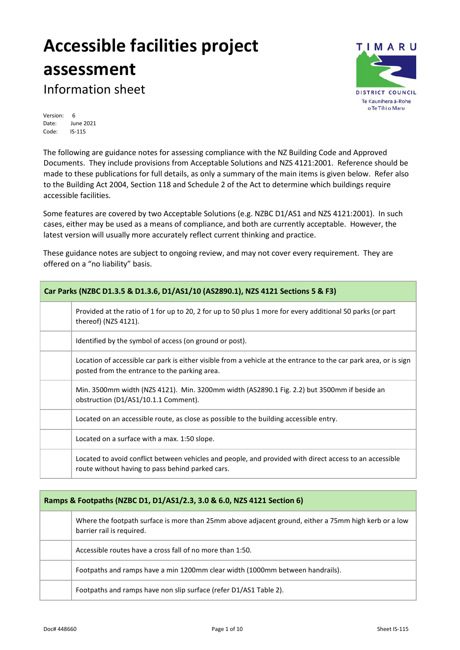# **Accessible facilities project assessment**



Information sheet

Version: 6<br>Date: Jui June 2021 Code: IS-115

The following are guidance notes for assessing compliance with the NZ Building Code and Approved Documents. They include provisions from Acceptable Solutions and NZS 4121:2001. Reference should be made to these publications for full details, as only a summary of the main items is given below. Refer also to the Building Act 2004, Section 118 and Schedule 2 of the Act to determine which buildings require accessible facilities.

Some features are covered by two Acceptable Solutions (e.g. NZBC D1/AS1 and NZS 4121:2001). In such cases, either may be used as a means of compliance, and both are currently acceptable. However, the latest version will usually more accurately reflect current thinking and practice.

These guidance notes are subject to ongoing review, and may not cover every requirement. They are offered on a "no liability" basis.

| Car Parks (NZBC D1.3.5 & D1.3.6, D1/AS1/10 (AS2890.1), NZS 4121 Sections 5 & F3) |                                                                                                                                                                    |
|----------------------------------------------------------------------------------|--------------------------------------------------------------------------------------------------------------------------------------------------------------------|
|                                                                                  | Provided at the ratio of 1 for up to 20, 2 for up to 50 plus 1 more for every additional 50 parks (or part<br>thereof) (NZS 4121).                                 |
|                                                                                  | Identified by the symbol of access (on ground or post).                                                                                                            |
|                                                                                  | Location of accessible car park is either visible from a vehicle at the entrance to the car park area, or is sign<br>posted from the entrance to the parking area. |
|                                                                                  | Min. 3500mm width (NZS 4121). Min. 3200mm width (AS2890.1 Fig. 2.2) but 3500mm if beside an<br>obstruction (D1/AS1/10.1.1 Comment).                                |
|                                                                                  | Located on an accessible route, as close as possible to the building accessible entry.                                                                             |
|                                                                                  | Located on a surface with a max. 1:50 slope.                                                                                                                       |
|                                                                                  | Located to avoid conflict between vehicles and people, and provided with direct access to an accessible<br>route without having to pass behind parked cars.        |

| Ramps & Footpaths (NZBC D1, D1/AS1/2.3, 3.0 & 6.0, NZS 4121 Section 6) |                                                                                                                                   |
|------------------------------------------------------------------------|-----------------------------------------------------------------------------------------------------------------------------------|
|                                                                        | Where the footpath surface is more than 25mm above adjacent ground, either a 75mm high kerb or a low<br>barrier rail is required. |
|                                                                        | Accessible routes have a cross fall of no more than 1:50.                                                                         |
|                                                                        | Footpaths and ramps have a min 1200mm clear width (1000mm between handrails).                                                     |
|                                                                        | Footpaths and ramps have non slip surface (refer D1/AS1 Table 2).                                                                 |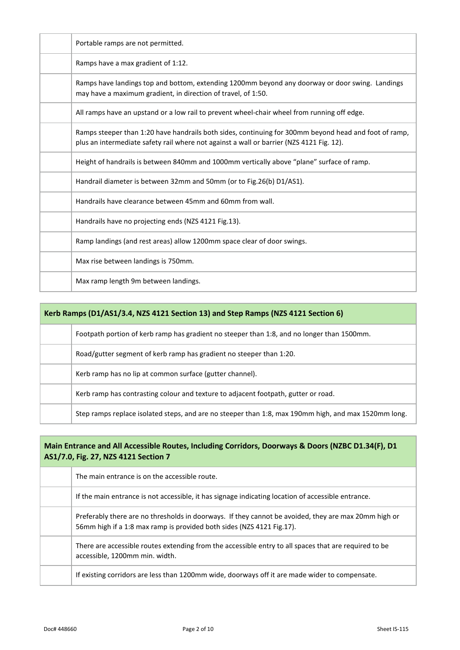| Portable ramps are not permitted.                                                                                                                                                                 |
|---------------------------------------------------------------------------------------------------------------------------------------------------------------------------------------------------|
| Ramps have a max gradient of 1:12.                                                                                                                                                                |
| Ramps have landings top and bottom, extending 1200mm beyond any doorway or door swing. Landings<br>may have a maximum gradient, in direction of travel, of 1:50.                                  |
| All ramps have an upstand or a low rail to prevent wheel-chair wheel from running off edge.                                                                                                       |
| Ramps steeper than 1:20 have handrails both sides, continuing for 300mm beyond head and foot of ramp,<br>plus an intermediate safety rail where not against a wall or barrier (NZS 4121 Fig. 12). |
| Height of handrails is between 840mm and 1000mm vertically above "plane" surface of ramp.                                                                                                         |
| Handrail diameter is between 32mm and 50mm (or to Fig.26(b) D1/AS1).                                                                                                                              |
| Handrails have clearance between 45mm and 60mm from wall.                                                                                                                                         |
| Handrails have no projecting ends (NZS 4121 Fig.13).                                                                                                                                              |
| Ramp landings (and rest areas) allow 1200mm space clear of door swings.                                                                                                                           |
| Max rise between landings is 750mm.                                                                                                                                                               |
| Max ramp length 9m between landings.                                                                                                                                                              |

| Kerb Ramps (D1/AS1/3.4, NZS 4121 Section 13) and Step Ramps (NZS 4121 Section 6) |                                                                                                      |
|----------------------------------------------------------------------------------|------------------------------------------------------------------------------------------------------|
|                                                                                  | Footpath portion of kerb ramp has gradient no steeper than 1:8, and no longer than 1500mm.           |
|                                                                                  | Road/gutter segment of kerb ramp has gradient no steeper than 1:20.                                  |
|                                                                                  | Kerb ramp has no lip at common surface (gutter channel).                                             |
|                                                                                  | Kerb ramp has contrasting colour and texture to adjacent footpath, gutter or road.                   |
|                                                                                  | Step ramps replace isolated steps, and are no steeper than 1:8, max 190mm high, and max 1520mm long. |

### **Main Entrance and All Accessible Routes, Including Corridors, Doorways & Doors (NZBC D1.34(F), D1 AS1/7.0, Fig. 27, NZS 4121 Section 7**

| The main entrance is on the accessible route.                                                                                                                                 |
|-------------------------------------------------------------------------------------------------------------------------------------------------------------------------------|
| If the main entrance is not accessible, it has signage indicating location of accessible entrance.                                                                            |
| Preferably there are no thresholds in doorways. If they cannot be avoided, they are max 20mm high or<br>56mm high if a 1:8 max ramp is provided both sides (NZS 4121 Fig.17). |
| There are accessible routes extending from the accessible entry to all spaces that are required to be<br>accessible, 1200mm min. width.                                       |
| If existing corridors are less than 1200mm wide, doorways off it are made wider to compensate.                                                                                |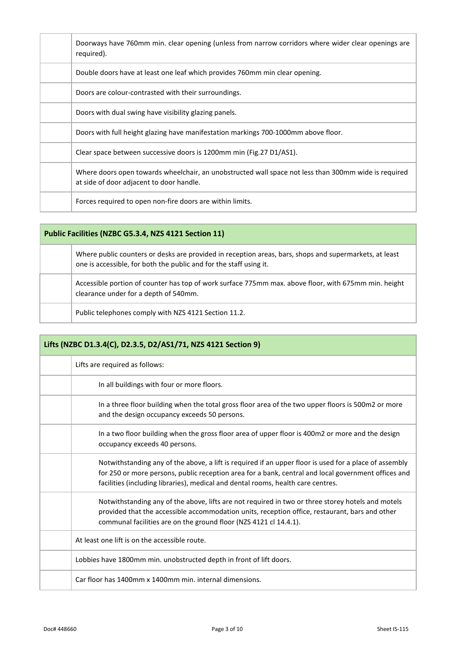| Doorways have 760mm min. clear opening (unless from narrow corridors where wider clear openings are<br>required).                                |
|--------------------------------------------------------------------------------------------------------------------------------------------------|
| Double doors have at least one leaf which provides 760mm min clear opening.                                                                      |
| Doors are colour-contrasted with their surroundings.                                                                                             |
| Doors with dual swing have visibility glazing panels.                                                                                            |
| Doors with full height glazing have manifestation markings 700-1000mm above floor.                                                               |
| Clear space between successive doors is 1200mm min (Fig. 27 D1/AS1).                                                                             |
| Where doors open towards wheelchair, an unobstructed wall space not less than 300mm wide is required<br>at side of door adjacent to door handle. |
| Forces required to open non-fire doors are within limits.                                                                                        |

| Public Facilities (NZBC G5.3.4, NZS 4121 Section 11) |                                                                                                                                                                              |
|------------------------------------------------------|------------------------------------------------------------------------------------------------------------------------------------------------------------------------------|
|                                                      | Where public counters or desks are provided in reception areas, bars, shops and supermarkets, at least<br>one is accessible, for both the public and for the staff using it. |
|                                                      | Accessible portion of counter has top of work surface 775mm max, above floor, with 675mm min, height<br>clearance under for a depth of 540mm.                                |
|                                                      | Public telephones comply with NZS 4121 Section 11.2.                                                                                                                         |

| Lifts (NZBC D1.3.4(C), D2.3.5, D2/AS1/71, NZS 4121 Section 9)                                                                                                                                                                                                                                     |  |  |
|---------------------------------------------------------------------------------------------------------------------------------------------------------------------------------------------------------------------------------------------------------------------------------------------------|--|--|
| Lifts are required as follows:                                                                                                                                                                                                                                                                    |  |  |
| In all buildings with four or more floors.                                                                                                                                                                                                                                                        |  |  |
| In a three floor building when the total gross floor area of the two upper floors is 500m2 or more<br>and the design occupancy exceeds 50 persons.                                                                                                                                                |  |  |
| In a two floor building when the gross floor area of upper floor is 400m2 or more and the design<br>occupancy exceeds 40 persons.                                                                                                                                                                 |  |  |
| Notwithstanding any of the above, a lift is required if an upper floor is used for a place of assembly<br>for 250 or more persons, public reception area for a bank, central and local government offices and<br>facilities (including libraries), medical and dental rooms, health care centres. |  |  |
| Notwithstanding any of the above, lifts are not required in two or three storey hotels and motels<br>provided that the accessible accommodation units, reception office, restaurant, bars and other<br>communal facilities are on the ground floor (NZS 4121 cl 14.4.1).                          |  |  |
| At least one lift is on the accessible route.                                                                                                                                                                                                                                                     |  |  |
| Lobbies have 1800mm min. unobstructed depth in front of lift doors.                                                                                                                                                                                                                               |  |  |
| Car floor has 1400mm x 1400mm min. internal dimensions.                                                                                                                                                                                                                                           |  |  |

Ī

and the state of the state

٦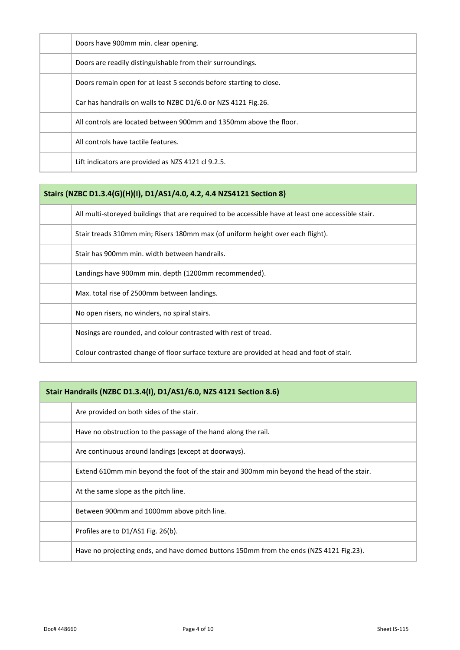| Doors have 900mm min. clear opening.                               |
|--------------------------------------------------------------------|
| Doors are readily distinguishable from their surroundings.         |
| Doors remain open for at least 5 seconds before starting to close. |
| Car has handrails on walls to NZBC D1/6.0 or NZS 4121 Fig.26.      |
| All controls are located between 900mm and 1350mm above the floor. |
| All controls have tactile features.                                |
| Lift indicators are provided as NZS 4121 cl 9.2.5.                 |

## **Stairs (NZBC D1.3.4(G)(H)(I), D1/AS1/4.0, 4.2, 4.4 NZS4121 Section 8)**

| All multi-storeyed buildings that are required to be accessible have at least one accessible stair. |
|-----------------------------------------------------------------------------------------------------|
| Stair treads 310mm min; Risers 180mm max (of uniform height over each flight).                      |
| Stair has 900mm min, width between handrails.                                                       |
| Landings have 900mm min. depth (1200mm recommended).                                                |
| Max. total rise of 2500mm between landings.                                                         |
| No open risers, no winders, no spiral stairs.                                                       |
| Nosings are rounded, and colour contrasted with rest of tread.                                      |
| Colour contrasted change of floor surface texture are provided at head and foot of stair.           |

## **Stair Handrails (NZBC D1.3.4(I), D1/AS1/6.0, NZS 4121 Section 8.6)**

| Are provided on both sides of the stair.                                                  |
|-------------------------------------------------------------------------------------------|
| Have no obstruction to the passage of the hand along the rail.                            |
| Are continuous around landings (except at doorways).                                      |
| Extend 610mm min beyond the foot of the stair and 300mm min beyond the head of the stair. |
| At the same slope as the pitch line.                                                      |
| Between 900mm and 1000mm above pitch line.                                                |
| Profiles are to D1/AS1 Fig. 26(b).                                                        |
| Have no projecting ends, and have domed buttons 150mm from the ends (NZS 4121 Fig.23).    |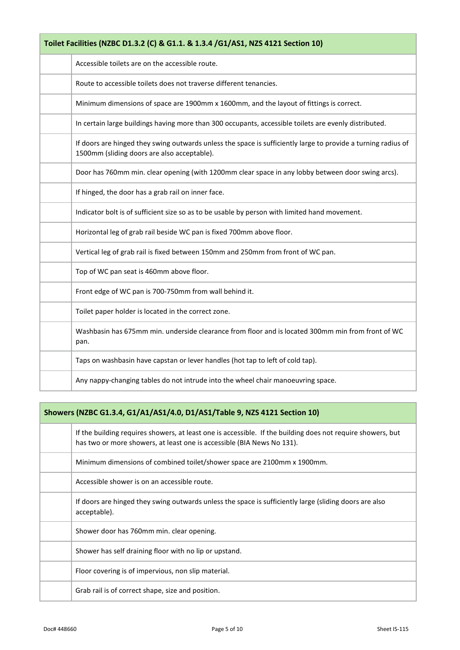| Toilet Facilities (NZBC D1.3.2 (C) & G1.1. & 1.3.4 /G1/AS1, NZS 4121 Section 10) |                                                                                                                                                              |
|----------------------------------------------------------------------------------|--------------------------------------------------------------------------------------------------------------------------------------------------------------|
|                                                                                  | Accessible toilets are on the accessible route.                                                                                                              |
|                                                                                  | Route to accessible toilets does not traverse different tenancies.                                                                                           |
|                                                                                  | Minimum dimensions of space are 1900mm x 1600mm, and the layout of fittings is correct.                                                                      |
|                                                                                  | In certain large buildings having more than 300 occupants, accessible toilets are evenly distributed.                                                        |
|                                                                                  | If doors are hinged they swing outwards unless the space is sufficiently large to provide a turning radius of<br>1500mm (sliding doors are also acceptable). |
|                                                                                  | Door has 760mm min. clear opening (with 1200mm clear space in any lobby between door swing arcs).                                                            |
|                                                                                  | If hinged, the door has a grab rail on inner face.                                                                                                           |
|                                                                                  | Indicator bolt is of sufficient size so as to be usable by person with limited hand movement.                                                                |
|                                                                                  | Horizontal leg of grab rail beside WC pan is fixed 700mm above floor.                                                                                        |
|                                                                                  | Vertical leg of grab rail is fixed between 150mm and 250mm from front of WC pan.                                                                             |
|                                                                                  | Top of WC pan seat is 460mm above floor.                                                                                                                     |
|                                                                                  | Front edge of WC pan is 700-750mm from wall behind it.                                                                                                       |
|                                                                                  | Toilet paper holder is located in the correct zone.                                                                                                          |
|                                                                                  | Washbasin has 675mm min. underside clearance from floor and is located 300mm min from front of WC<br>pan.                                                    |
|                                                                                  | Taps on washbasin have capstan or lever handles (hot tap to left of cold tap).                                                                               |
|                                                                                  | Any nappy-changing tables do not intrude into the wheel chair manoeuvring space.                                                                             |

# **Showers (NZBC G1.3.4, G1/A1/AS1/4.0, D1/AS1/Table 9, NZS 4121 Section 10)**

| If the building requires showers, at least one is accessible. If the building does not require showers, but<br>has two or more showers, at least one is accessible (BIA News No 131). |
|---------------------------------------------------------------------------------------------------------------------------------------------------------------------------------------|
| Minimum dimensions of combined toilet/shower space are 2100mm x 1900mm.                                                                                                               |
| Accessible shower is on an accessible route.                                                                                                                                          |
| If doors are hinged they swing outwards unless the space is sufficiently large (sliding doors are also<br>acceptable).                                                                |
| Shower door has 760mm min. clear opening.                                                                                                                                             |
| Shower has self draining floor with no lip or upstand.                                                                                                                                |
| Floor covering is of impervious, non slip material.                                                                                                                                   |
| Grab rail is of correct shape, size and position.                                                                                                                                     |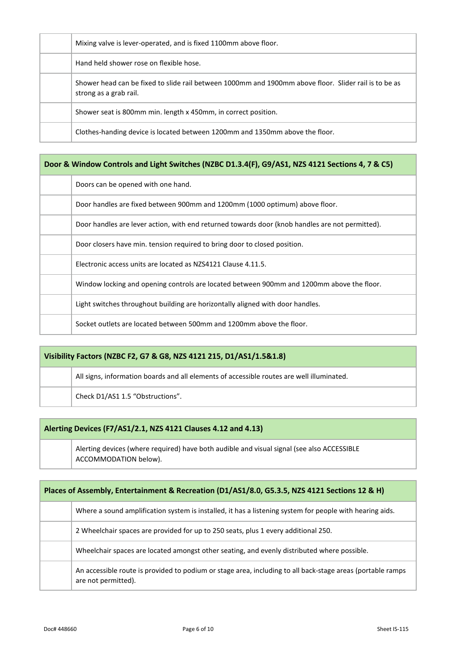|  |  | Mixing valve is lever-operated, and is fixed 1100mm above floor.                                                                |
|--|--|---------------------------------------------------------------------------------------------------------------------------------|
|  |  | Hand held shower rose on flexible hose.                                                                                         |
|  |  | Shower head can be fixed to slide rail between 1000mm and 1900mm above floor. Slider rail is to be as<br>strong as a grab rail. |
|  |  | Shower seat is 800mm min. length x 450mm, in correct position.                                                                  |
|  |  | Clothes-handing device is located between 1200mm and 1350mm above the floor.                                                    |

| Door & Window Controls and Light Switches (NZBC D1.3.4(F), G9/AS1, NZS 4121 Sections 4, 7 & C5) |  |  |  |  |  |
|-------------------------------------------------------------------------------------------------|--|--|--|--|--|
| Doors can be opened with one hand.                                                              |  |  |  |  |  |
| Door handles are fixed between 900mm and 1200mm (1000 optimum) above floor.                     |  |  |  |  |  |
| Door handles are lever action, with end returned towards door (knob handles are not permitted). |  |  |  |  |  |
| Door closers have min, tension required to bring door to closed position.                       |  |  |  |  |  |
| Electronic access units are located as NZS4121 Clause 4.11.5.                                   |  |  |  |  |  |
| Window locking and opening controls are located between 900mm and 1200mm above the floor.       |  |  |  |  |  |
| Light switches throughout building are horizontally aligned with door handles.                  |  |  |  |  |  |
| Socket outlets are located between 500mm and 1200mm above the floor.                            |  |  |  |  |  |

| Visibility Factors (NZBC F2, G7 & G8, NZS 4121 215, D1/AS1/1.5&1.8) |                                                                                           |  |
|---------------------------------------------------------------------|-------------------------------------------------------------------------------------------|--|
|                                                                     | All signs, information boards and all elements of accessible routes are well illuminated. |  |
|                                                                     | Check D1/AS1 1.5 "Obstructions".                                                          |  |
|                                                                     |                                                                                           |  |

## **Alerting Devices (F7/AS1/2.1, NZS 4121 Clauses 4.12 and 4.13)**

Alerting devices (where required) have both audible and visual signal (see also ACCESSIBLE ACCOMMODATION below).

| Places of Assembly, Entertainment & Recreation (D1/AS1/8.0, G5.3.5, NZS 4121 Sections 12 & H) |                                                                                                                                   |  |  |
|-----------------------------------------------------------------------------------------------|-----------------------------------------------------------------------------------------------------------------------------------|--|--|
|                                                                                               | Where a sound amplification system is installed, it has a listening system for people with hearing aids.                          |  |  |
|                                                                                               | 2 Wheelchair spaces are provided for up to 250 seats, plus 1 every additional 250.                                                |  |  |
|                                                                                               | Wheelchair spaces are located amongst other seating, and evenly distributed where possible.                                       |  |  |
|                                                                                               | An accessible route is provided to podium or stage area, including to all back-stage areas (portable ramps<br>are not permitted). |  |  |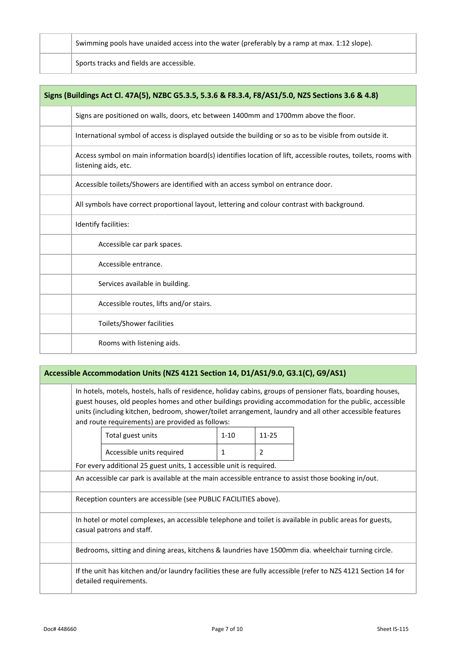|  | Swimming pools have unaided access into the water (preferably by a ramp at max. 1:12 slope). |
|--|----------------------------------------------------------------------------------------------|
|  | Sports tracks and fields are accessible.                                                     |

| Signs (Buildings Act Cl. 47A(5), NZBC G5.3.5, 5.3.6 & F8.3.4, F8/AS1/5.0, NZS Sections 3.6 & 4.8)                                      |  |  |  |  |  |
|----------------------------------------------------------------------------------------------------------------------------------------|--|--|--|--|--|
| Signs are positioned on walls, doors, etc between 1400mm and 1700mm above the floor.                                                   |  |  |  |  |  |
| International symbol of access is displayed outside the building or so as to be visible from outside it.                               |  |  |  |  |  |
| Access symbol on main information board(s) identifies location of lift, accessible routes, toilets, rooms with<br>listening aids, etc. |  |  |  |  |  |
| Accessible toilets/Showers are identified with an access symbol on entrance door.                                                      |  |  |  |  |  |
| All symbols have correct proportional layout, lettering and colour contrast with background.                                           |  |  |  |  |  |
| Identify facilities:                                                                                                                   |  |  |  |  |  |
| Accessible car park spaces.                                                                                                            |  |  |  |  |  |
| Accessible entrance.                                                                                                                   |  |  |  |  |  |
| Services available in building.                                                                                                        |  |  |  |  |  |
| Accessible routes, lifts and/or stairs.                                                                                                |  |  |  |  |  |
| Toilets/Shower facilities                                                                                                              |  |  |  |  |  |
| Rooms with listening aids.                                                                                                             |  |  |  |  |  |

#### **Accessible Accommodation Units (NZS 4121 Section 14, D1/AS1/9.0, G3.1(C), G9/AS1)**

In hotels, motels, hostels, halls of residence, holiday cabins, groups of pensioner flats, boarding houses, guest houses, old peoples homes and other buildings providing accommodation for the public, accessible units (including kitchen, bedroom, shower/toilet arrangement, laundry and all other accessible features and route requirements) are provided as follows:

|  | Total guest units                                                                                                                        | $1 - 10$ | $11 - 25$ |  |
|--|------------------------------------------------------------------------------------------------------------------------------------------|----------|-----------|--|
|  | Accessible units required                                                                                                                |          | 2         |  |
|  | For every additional 25 guest units, 1 accessible unit is required.                                                                      |          |           |  |
|  | An accessible car park is available at the main accessible entrance to assist those booking in/out.                                      |          |           |  |
|  | Reception counters are accessible (see PUBLIC FACILITIES above).                                                                         |          |           |  |
|  | In hotel or motel complexes, an accessible telephone and toilet is available in public areas for guests,<br>casual patrons and staff.    |          |           |  |
|  | Bedrooms, sitting and dining areas, kitchens & laundries have 1500mm dia. wheelchair turning circle.                                     |          |           |  |
|  | If the unit has kitchen and/or laundry facilities these are fully accessible (refer to NZS 4121 Section 14 for<br>detailed requirements. |          |           |  |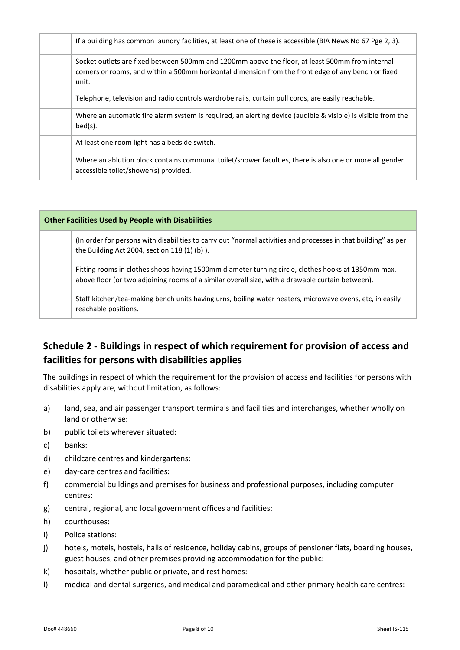| If a building has common laundry facilities, at least one of these is accessible (BIA News No 67 Pge 2, 3).                                                                                                     |  |  |  |  |
|-----------------------------------------------------------------------------------------------------------------------------------------------------------------------------------------------------------------|--|--|--|--|
| Socket outlets are fixed between 500mm and 1200mm above the floor, at least 500mm from internal<br>corners or rooms, and within a 500mm horizontal dimension from the front edge of any bench or fixed<br>unit. |  |  |  |  |
| Telephone, television and radio controls wardrobe rails, curtain pull cords, are easily reachable.                                                                                                              |  |  |  |  |
| Where an automatic fire alarm system is required, an alerting device (audible & visible) is visible from the<br>$bed(s)$ .                                                                                      |  |  |  |  |
| At least one room light has a bedside switch.                                                                                                                                                                   |  |  |  |  |
| Where an ablution block contains communal toilet/shower faculties, there is also one or more all gender<br>accessible toilet/shower(s) provided.                                                                |  |  |  |  |

| <b>Other Facilities Used by People with Disabilities</b> |                                                                                                                                                                                                        |  |  |  |  |
|----------------------------------------------------------|--------------------------------------------------------------------------------------------------------------------------------------------------------------------------------------------------------|--|--|--|--|
|                                                          | (In order for persons with disabilities to carry out "normal activities and processes in that building" as per<br>the Building Act 2004, section 118 (1) (b) ).                                        |  |  |  |  |
|                                                          | Fitting rooms in clothes shops having 1500mm diameter turning circle, clothes hooks at 1350mm max,<br>above floor (or two adjoining rooms of a similar overall size, with a drawable curtain between). |  |  |  |  |
|                                                          | Staff kitchen/tea-making bench units having urns, boiling water heaters, microwave ovens, etc, in easily<br>reachable positions.                                                                       |  |  |  |  |

# **Schedule 2 - Buildings in respect of which requirement for provision of access and facilities for persons with disabilities applies**

The buildings in respect of which the requirement for the provision of access and facilities for persons with disabilities apply are, without limitation, as follows:

- a) land, sea, and air passenger transport terminals and facilities and interchanges, whether wholly on land or otherwise:
- b) public toilets wherever situated:
- c) banks:
- d) childcare centres and kindergartens:
- e) day-care centres and facilities:
- f) commercial buildings and premises for business and professional purposes, including computer centres:
- g) central, regional, and local government offices and facilities:
- h) courthouses:
- i) Police stations:
- j) hotels, motels, hostels, halls of residence, holiday cabins, groups of pensioner flats, boarding houses, guest houses, and other premises providing accommodation for the public:
- k) hospitals, whether public or private, and rest homes:
- l) medical and dental surgeries, and medical and paramedical and other primary health care centres: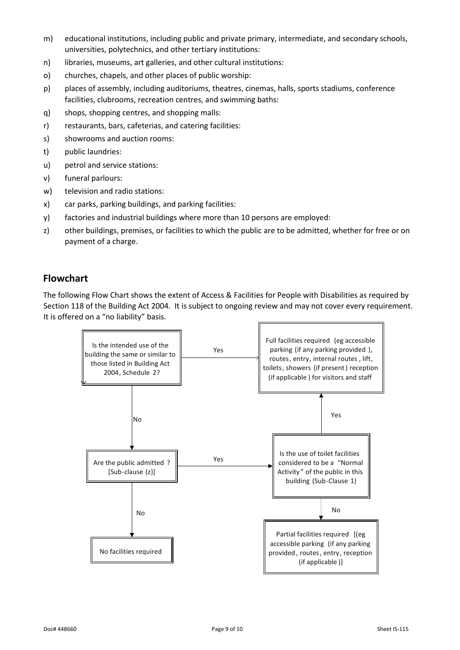- m) educational institutions, including public and private primary, intermediate, and secondary schools, universities, polytechnics, and other tertiary institutions:
- n) libraries, museums, art galleries, and other cultural institutions:
- o) churches, chapels, and other places of public worship:
- p) places of assembly, including auditoriums, theatres, cinemas, halls, sports stadiums, conference facilities, clubrooms, recreation centres, and swimming baths:
- q) shops, shopping centres, and shopping malls:
- r) restaurants, bars, cafeterias, and catering facilities:
- s) showrooms and auction rooms:
- t) public laundries:
- u) petrol and service stations:
- v) funeral parlours:
- w) television and radio stations:
- x) car parks, parking buildings, and parking facilities:
- y) factories and industrial buildings where more than 10 persons are employed:
- z) other buildings, premises, or facilities to which the public are to be admitted, whether for free or on payment of a charge.

#### **Flowchart**

The following Flow Chart shows the extent of Access & Facilities for People with Disabilities as required by Section 118 of the Building Act 2004. It is subject to ongoing review and may not cover every requirement. It is offered on a "no liability" basis.